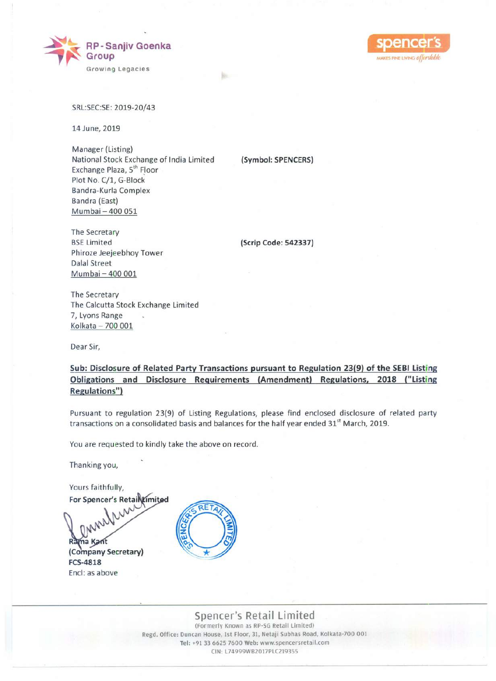



SRL:SEC:SE:2019-20/43

14 June, 2019

Manager (Listing) National Stock Exchange of India Limited Exchange Plaza, 5<sup>th</sup> Floor Plot No. C/1, G-Block Bandra-Kurla Complex Bandra (East) Mumbai - 400 051

The Secretary **BSE Limited** Phiroze Jeejeebhoy Tower Dalal Street Mumbai - 400 001

**(Scrip Code: 542337)**

**(Symbol: SPENCERS)**

bi

The Secretary The Calcutta Stock Exchange Limited 7, Lyons Range Kolkata - 700 001

Dear Sir,

# **Sub: Disclosure of Related Party Transactions pursuant to Regulation 23(9) of the SEBI Listing Obligations and Disclosure Requirements (Amendment) Regulations, 2018 ("Listing Regulations")**

Pursuant to regulation 23(9) of Listing Regulations, please find enclosed disclosure of related party transactions on a consolidated basis and balances for the half year ended 31<sup>st</sup> March, 2019.

You are requested to kindly take the above on record.

Thanking you,

Yours faithfully,

**For Spencer's Retail Limited** Rama Kant **(Company Secretary) FCS-4818** Encl: as above



# **Spencer's Retail Limited**

(Formerly Known as Rp·SG Retail Limited) Regd. Office: Duncan House, 1st Floor, 31, Netaji Subhas Road, Kolkata·700 001 Tel: +91 33 6625 7600 Web: www.spencersretail.com CIN: L74999WB2017PLC219355